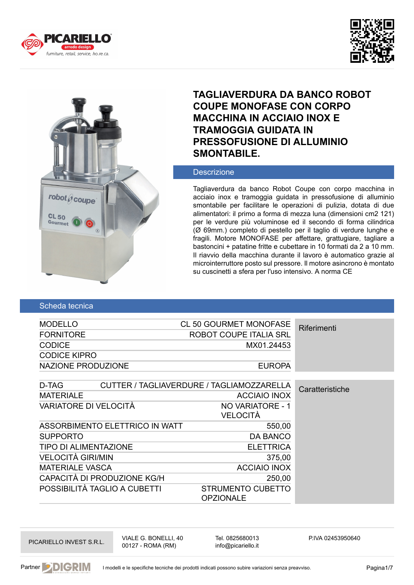





# **TAGLIAVERDURA DA BANCO ROBOT COUPE MONOFASE CON CORPO MACCHINA IN ACCIAIO INOX E TRAMOGGIA GUIDATA IN PRESSOFUSIONE DI ALLUMINIO SMONTABILE.**

## **Descrizione**

Tagliaverdura da banco Robot Coupe con corpo macchina in acciaio inox e tramoggia guidata in pressofusione di alluminio smontabile per facilitare le operazioni di pulizia, dotata di due alimentatori: il primo a forma di mezza luna (dimensioni cm2 121) per le verdure più voluminose ed il secondo di forma cilindrica (Ø 69mm.) completo di pestello per il taglio di verdure lunghe e fragili. Motore MONOFASE per affettare, grattugiare, tagliare a bastoncini + patatine fritte e cubettare in 10 formati da 2 a 10 mm. Il riavvio della macchina durante il lavoro è automatico grazie al microinterruttore posto sul pressore. Il motore asincrono è montato su cuscinetti a sfera per l'uso intensivo. A norma CE

### Scheda tecnica

| <b>CL 50 GOURMET MONOFASE</b>                                |
|--------------------------------------------------------------|
| Riferimenti                                                  |
| <b>ROBOT COUPE ITALIA SRL</b>                                |
| MX01.24453                                                   |
|                                                              |
| <b>EUROPA</b>                                                |
|                                                              |
| CUTTER / TAGLIAVERDURE / TAGLIAMOZZARELLA<br>Caratteristiche |
| <b>ACCIAIO INOX</b>                                          |
| NO VARIATORE - 1                                             |
|                                                              |
| 550,00                                                       |
| <b>DA BANCO</b>                                              |
| <b>ELETTRICA</b>                                             |
| 375,00                                                       |
| <b>ACCIAIO INOX</b>                                          |
| 250,00                                                       |
| <b>STRUMENTO CUBETTO</b>                                     |
|                                                              |

PICARIELLO INVEST S.R.L. VIALE G. BONELLI, 40 00127 - ROMA (RM)

Tel. 0825680013 info@picariello.it

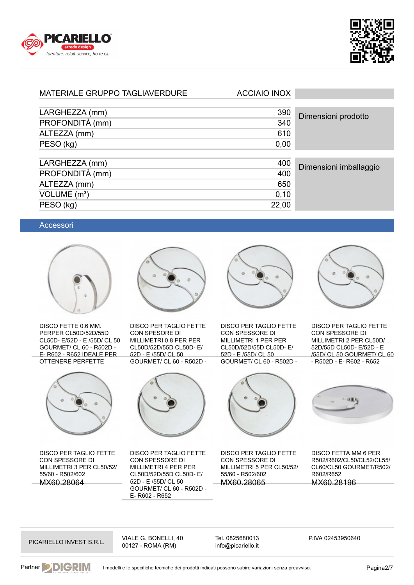



## MATERIALE GRUPPO TAGLIAVERDURE ACCIAIO INOX

| LARGHEZZA (mm)<br>390<br>Dimensioni prodotto<br>PROFONDITÀ (mm)<br>340<br>610<br>ALTEZZA (mm) |  |                        |
|-----------------------------------------------------------------------------------------------|--|------------------------|
|                                                                                               |  |                        |
|                                                                                               |  |                        |
|                                                                                               |  |                        |
| PESO (kg)<br>0,00                                                                             |  |                        |
|                                                                                               |  |                        |
| LARGHEZZA (mm)<br>400                                                                         |  | Dimensioni imballaggio |
| PROFONDITÀ (mm)<br>400                                                                        |  |                        |
| ALTEZZA (mm)<br>650                                                                           |  |                        |
| VOLUME $(m^3)$<br>0,10                                                                        |  |                        |
| PESO (kg)<br>22,00                                                                            |  |                        |

#### Accessori



DISCO FETTE 0.6 MM. PERPER CL50D/52D/55D CL50D- E/52D - E /55D/ CL 50 GOURMET/ CL 60 - R502D - E- R602 - R652 IDEALE PER OTTENERE PERFETTE



DISCO PER TAGLIO FETTE CON SPESSORE DI MILLIMETRI 3 PER CL50/52/ 55/60 - R502/602 MX60.28064



DISCO PER TAGLIO FETTE CON SPESORE DI MILLIMETRI 0.8 PER PER CL50D/52D/55D CL50D- E/ 52D - E /55D/ CL 50 GOURMET/ CL 60 - R502D -



DISCO PER TAGLIO FETTE CON SPESSORE DI MILLIMETRI 4 PER PER CL50D/52D/55D CL50D- E/ 52D - E /55D/ CL 50 GOURMET/ CL 60 - R502D - E- R602 - R652



DISCO PER TAGLIO FETTE CON SPESSORE DI MILLIMETRI 1 PER PER CL50D/52D/55D CL50D- E/ 52D - E /55D/ CL 50 GOURMET/ CL 60 - R502D -



DISCO PER TAGLIO FETTE CON SPESSORE DI MILLIMETRI 2 PER CL50D/ 52D/55D CL50D- E/52D - E /55D/ CL 50 GOURMET/ CL 60 - R502D - E- R602 - R652



DISCO PER TAGLIO FETTE CON SPESSORE DI MILLIMETRI 5 PER CL50/52/ 55/60 - R502/602 MX60.28065



DISCO FETTA MM 6 PER R502/R602/CL50/CL52/CL55/ CL60/CL50 GOURMET/R502/ R602/R652 MX60.28196

PICARIELLO INVEST S.R.L. VIALE G. BONELLI, 40 00127 - ROMA (RM)

Tel. 0825680013 info@picariello.it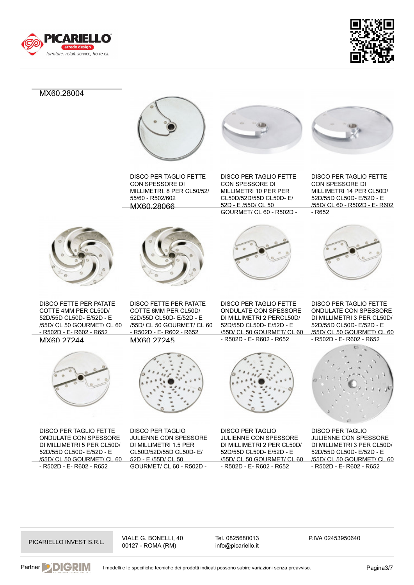



MX60.28004



DISCO PER TAGLIO FETTE CON SPESSORE DI MILLIMETRI. 8 PER CL50/52/ 55/60 - R502/602 MX60.28066



DISCO PER TAGLIO FETTE CON SPESSORE DI MILLIMETRI 10 PER PER CL50D/52D/55D CL50D- E/ 52D - E /55D/ CL 50 GOURMET/ CL 60 - R502D -

 $\sqrt{2}$ 

DISCO PER TAGLIO FETTE CON SPESSORE DI



DISCO FETTE PER PATATE COTTE 4MM PER CL50D/ 52D/55D CL50D- E/52D - E /55D/ CL 50 GOURMET/ CL 60 - R502D - E- R602 - R652 **MX60 27244** 



DISCO PER TAGLIO FETTE ONDULATE CON SPESSORE DI MILLIMETRI 5 PER CL50D/ 52D/55D CL50D- E/52D - E /55D/ CL 50 GOURMET/ CL 60 - R502D - E- R602 - R652



DISCO FETTE PER PATATE COTTE 6MM PER CL50D/ 52D/55D CL50D- E/52D - E /55D/ CL 50 GOURMET/ CL 60 - R502D - E- R602 - R652 MX60.27245



DISCO PER TAGLIO JULIENNE CON SPESSORE DI MILLIMETRI 1.5 PER CL50D/52D/55D CL50D- E/ 52D - E /55D/ CL 50 GOURMET/ CL 60 - R502D -

DISCO PER TAGLIO FETTE ONDULATE CON SPESSORE DI MILLIMETRI 2 PERCL50D/ 52D/55D CL50D- E/52D - E /55D/ CL 50 GOURMET/ CL 60 - R502D - E- R602 - R652



DISCO PER TAGLIO JULIENNE CON SPESSORE DI MILLIMETRI 2 PER CL50D/ 52D/55D CL50D- E/52D - E /55D/ CL 50 GOURMET/ CL 60 - R502D - E- R602 - R652





DISCO PER TAGLIO FETTE ONDULATE CON SPESSORE DI MILLIMETRI 3 PER CL50D/ 52D/55D CL50D- E/52D - E /55D/ CL 50 GOURMET/ CL 60 - R502D - E- R602 - R652



DISCO PER TAGLIO JULIENNE CON SPESSORE DI MILLIMETRI 3 PER CL50D/ 52D/55D CL50D- E/52D - E /55D/ CL 50 GOURMET/ CL 60 - R502D - E- R602 - R652

PICARIELLO INVEST S.R.L. VIALE G. BONELLI, 40 00127 - ROMA (RM)

Tel. 0825680013 info@picariello.it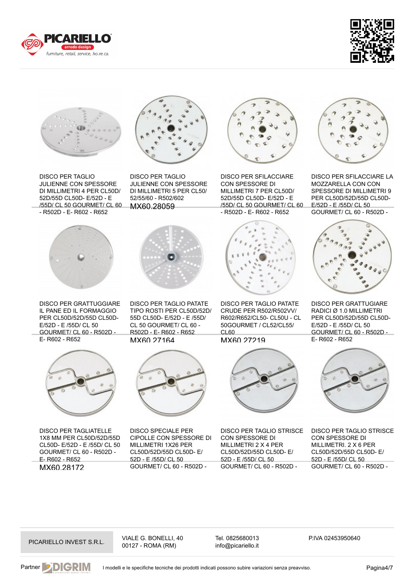





DISCO PER TAGLIO JULIENNE CON SPESSORE DI MILLIMETRI 4 PER CL50D/ 52D/55D CL50D- E/52D - E /55D/ CL 50 GOURMET/ CL 60 - R502D - E- R602 - R652



DISCO PER GRATTUGGIARE IL PANE ED IL FORMAGGIO PER CL50D/52D/55D CL50D-E/52D - E /55D/ CL 50 GOURMET/ CL 60 - R502D - E- R602 - R652



DISCO PER TAGLIATELLE 1X8 MM PER CL50D/52D/55D CL50D- E/52D - E /55D/ CL 50 GOURMET/ CL 60 - R502D - E- R602 - R652 MX60.28172



DISCO PER TAGLIO JULIENNE CON SPESSORE DI MILLIMETRI 5 PER CL50/ 52/55/60 - R502/602 MX60.28059



DISCO PER TAGLIO PATATE TIPO ROSTI PER CL50D/52D/ 55D CL50D- E/52D - E /55D/ CL 50 GOURMET/ CL 60 - R502D - E- R602 - R652 MX60.27164



DISCO SPECIALE PER CIPOLLE CON SPESSORE DI MILLIMETRI 1X26 PER CL50D/52D/55D CL50D- E/ 52D - E /55D/ CL 50 GOURMET/ CL 60 - R502D -



DISCO PER SFILACCIARE CON SPESSORE DI MILLIMETRI 7 PER CL50D/ 52D/55D CL50D- E/52D - E /55D/ CL 50 GOURMET/ CL 60 - R502D - E- R602 - R652



DISCO PER TAGLIO PATATE CRUDE PER R502/R502VV/ R602/R652/CL50- CL50U - CL 50GOURMET / CL52/CL55/  $C<sub>L</sub>60$ 

MX60.27219



DISCO PER TAGLIO STRISCE CON SPESSORE DI MILLIMETRI 2 X 4 PER CL50D/52D/55D CL50D- E/ 52D - E /55D/ CL 50 GOURMET/ CL 60 - R502D -



DISCO PER SFILACCIARE LA MOZZARELLA CON CON SPESSORE DI MILLIMETRI 9 PER CL50D/52D/55D CL50D-E/52D - E /55D/ CL 50 GOURMET/ CL 60 - R502D -



DISCO PER GRATTUGIARE RADICI Ø 1.0 MILLIMETRI PER CL50D/52D/55D CL50D-E/52D - E /55D/ CL 50 GOURMET/ CL 60 - R502D - E- R602 - R652



DISCO PER TAGLIO STRISCE CON SPESSORE DI MILLIMETRI. 2 X 6 PER CL50D/52D/55D CL50D- E/ 52D - E /55D/ CL 50 GOURMET/ CL 60 - R502D -

PICARIELLO INVEST S.R.L. VIALE G. BONELLI, 40 00127 - ROMA (RM)

Tel. 0825680013 info@picariello.it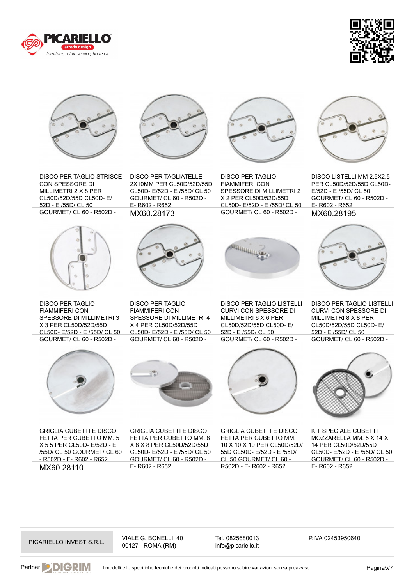





DISCO PER TAGLIO STRISCE CON SPESSORE DI MILLIMETRI 2 X 8 PER CL50D/52D/55D CL50D- E/ 52D - E /55D/ CL 50 GOURMET/ CL 60 - R502D -



DISCO PER TAGLIO FIAMMIFERI CON SPESSORE DI MILLIMETRI 3 X 3 PER CL50D/52D/55D CL50D- E/52D - E /55D/ CL 50 GOURMET/ CL 60 - R502D -



DISCO PER TAGLIATELLE 2X10MM PER CL50D/52D/55D CL50D- E/52D - E /55D/ CL 50 GOURMET/ CL 60 - R502D - E- R602 - R652 MX60.28173



DISCO PER TAGLIO FIAMMIFERI CON SPESSORE DI MILLIMETRI 2 X 2 PER CL50D/52D/55D CL50D- E/52D - E /55D/ CL 50 GOURMET/ CL 60 - R502D -



DISCO LISTELLI MM 2,5X2,5 PER CL50D/52D/55D CL50D-E/52D - E /55D/ CL 50 GOURMET/ CL 60 - R502D - E- R602 - R652 MX60.28195



DISCO PER TAGLIO FIAMMIFERI CON SPESSORE DI MILLIMETRI 4 X 4 PER CL50D/52D/55D CL50D- E/52D - E /55D/ CL 50 GOURMET/ CL 60 - R502D -



DISCO PER TAGLIO LISTELLI CURVI CON SPESSORE DI MILLIMETRI 6 X 6 PER CL50D/52D/55D CL50D- E/ 52D - E /55D/ CL 50 GOURMET/ CL 60 - R502D -



DISCO PER TAGLIO LISTELLI CURVI CON SPESSORE DI MILLIMETRI 8 X 8 PER CL50D/52D/55D CL50D- E/ 52D - E /55D/ CL 50 GOURMET/ CL 60 - R502D -



GRIGLIA CUBETTI E DISCO FETTA PER CUBETTO MM. 5 X 5 5 PER CL50D- E/52D - E /55D/ CL 50 GOURMET/ CL 60 - R502D - E- R602 - R652 MX60.28110



GRIGLIA CUBETTI E DISCO FETTA PER CUBETTO MM. 8 X 8 X 8 PER CL50D/52D/55D CL50D- E/52D - E /55D/ CL 50 GOURMET/ CL 60 - R502D - E- R602 - R652



GRIGLIA CUBETTI E DISCO FETTA PER CUBETTO MM. 10 X 10 X 10 PER CL50D/52D/ 55D CL50D- E/52D - E /55D/ CL 50 GOURMET/ CL 60 - R502D - E- R602 - R652



KIT SPECIALE CUBETTI MOZZARELLA MM. 5 X 14 X 14 PER CL50D/52D/55D CL50D- E/52D - E /55D/ CL 50 GOURMET/ CL 60 - R502D - E- R602 - R652

PICARIELLO INVEST S.R.L. VIALE G. BONELLI, 40 00127 - ROMA (RM)

Tel. 0825680013 info@picariello.it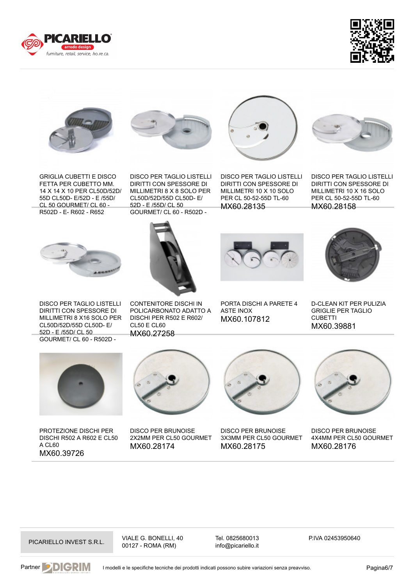





GRIGLIA CUBETTI E DISCO FETTA PER CUBETTO MM. 14 X 14 X 10 PER CL50D/52D/ 55D CL50D- E/52D - E /55D/ CL 50 GOURMET/ CL 60 - R502D - E- R602 - R652





DISCO PER TAGLIO LISTELLI DIRITTI CON SPESSORE DI MILLIMETRI 8 X 8 SOLO PER CL50D/52D/55D CL50D- E/ 52D - E /55D/ CL 50 GOURMET/ CL 60 - R502D -

DISCO PER TAGLIO LISTELLI DIRITTI CON SPESSORE DI MILLIMETRI 10 X 10 SOLO PER CL 50-52-55D TL-60 MX60.28135

DISCO PER TAGLIO LISTELLI DIRITTI CON SPESSORE DI MILLIMETRI 10 X 16 SOLO PER CL 50-52-55D TL-60 MX60.28158



 $\overline{a}$  $\overline{\phantom{a}}$ 



D-CLEAN KIT PER PULIZIA

DISCO PER TAGLIO LISTELLI DIRITTI CON SPESSORE DI MILLIMETRI 8 X16 SOLO PER CL50D/52D/55D CL50D- E/ 52D - E /55D/ CL 50 GOURMET/ CL 60 - R502D -

CONTENITORE DISCHI IN POLICARBONATO ADATTO A DISCHI PER R502 E R602/ CL50 E CL60 MX60.27258

PORTA DISCHI A PARETE 4 ASTE INOX MX60.107812

GRIGLIE PER TAGLIO CUBETTI MX60.39881



PROTEZIONE DISCHI PER DISCHI R502 A R602 E CL50 A CL60 MX60.39726



DISCO PER BRUNOISE 2X2MM PER CL50 GOURMET MX60.28174



DISCO PER BRUNOISE 3X3MM PER CL50 GOURMET MX60.28175



DISCO PER BRUNOISE 4X4MM PER CL50 GOURMET MX60.28176

PICARIELLO INVEST S.R.L. VIALE G. BONELLI, 40 00127 - ROMA (RM)

Tel. 0825680013 info@picariello.it